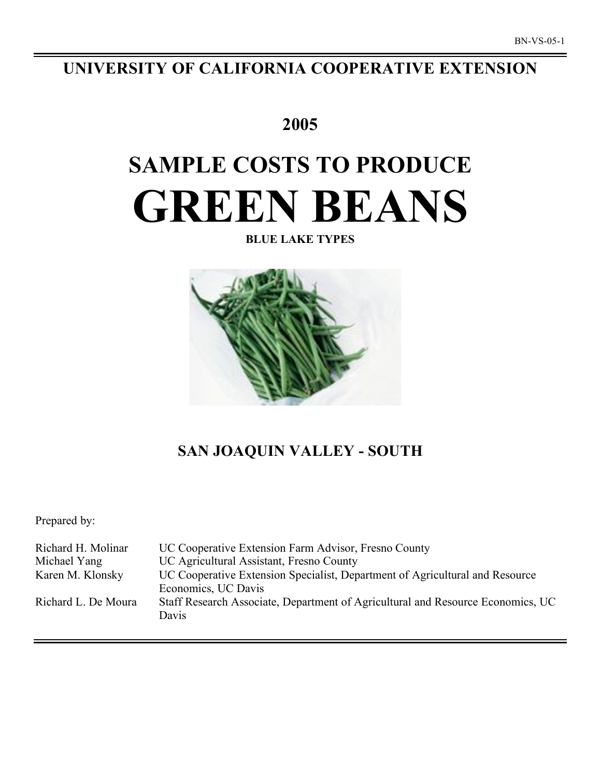# **UNIVERSITY OF CALIFORNIA COOPERATIVE EXTENSION**

# **2005**

# **SAMPLE COSTS TO PRODUCE GREEN BEANS**

**BLUE LAKE TYPES**



# **SAN JOAQUIN VALLEY - SOUTH**

Prepared by:

| Richard H. Molinar  | UC Cooperative Extension Farm Advisor, Fresno County                                     |
|---------------------|------------------------------------------------------------------------------------------|
| Michael Yang        | UC Agricultural Assistant, Fresno County                                                 |
| Karen M. Klonsky    | UC Cooperative Extension Specialist, Department of Agricultural and Resource             |
|                     | Economics, UC Davis                                                                      |
| Richard L. De Moura | Staff Research Associate, Department of Agricultural and Resource Economics, UC<br>Davis |
|                     |                                                                                          |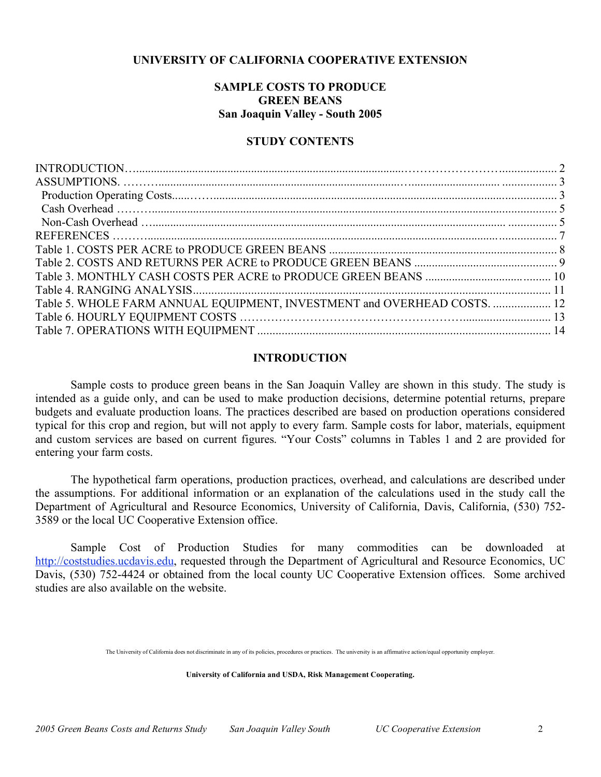# **UNIVERSITY OF CALIFORNIA COOPERATIVE EXTENSION**

# **SAMPLE COSTS TO PRODUCE GREEN BEANS San Joaquin Valley - South 2005**

## **STUDY CONTENTS**

| Table 5. WHOLE FARM ANNUAL EQUIPMENT, INVESTMENT and OVERHEAD COSTS.  12 |  |
|--------------------------------------------------------------------------|--|
|                                                                          |  |
|                                                                          |  |
|                                                                          |  |

## **INTRODUCTION**

Sample costs to produce green beans in the San Joaquin Valley are shown in this study. The study is intended as a guide only, and can be used to make production decisions, determine potential returns, prepare budgets and evaluate production loans. The practices described are based on production operations considered typical for this crop and region, but will not apply to every farm. Sample costs for labor, materials, equipment and custom services are based on current figures. "Your Costs" columns in Tables 1 and 2 are provided for entering your farm costs.

The hypothetical farm operations, production practices, overhead, and calculations are described under the assumptions. For additional information or an explanation of the calculations used in the study call the Department of Agricultural and Resource Economics, University of California, Davis, California, (530) 752- 3589 or the local UC Cooperative Extension office.

Sample Cost of Production Studies for many commodities can be downloaded at http://coststudies.ucdavis.edu, requested through the Department of Agricultural and Resource Economics, UC Davis, (530) 752-4424 or obtained from the local county UC Cooperative Extension offices. Some archived studies are also available on the website.

**University of California and USDA, Risk Management Cooperating.**

The University of California does not discriminate in any of its policies, procedures or practices. The university is an affirmative action/equal opportunity employer.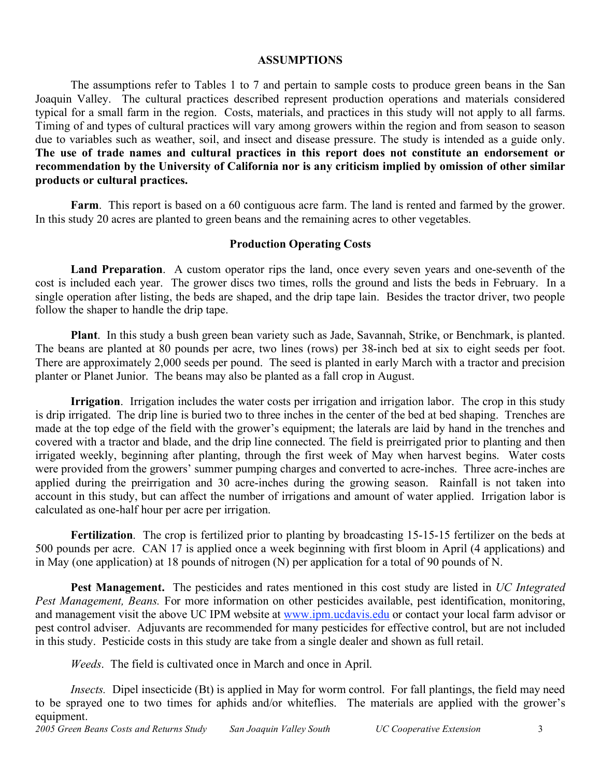# **ASSUMPTIONS**

The assumptions refer to Tables 1 to 7 and pertain to sample costs to produce green beans in the San Joaquin Valley. The cultural practices described represent production operations and materials considered typical for a small farm in the region. Costs, materials, and practices in this study will not apply to all farms. Timing of and types of cultural practices will vary among growers within the region and from season to season due to variables such as weather, soil, and insect and disease pressure. The study is intended as a guide only. **The use of trade names and cultural practices in this report does not constitute an endorsement or recommendation by the University of California nor is any criticism implied by omission of other similar products or cultural practices.**

**Farm**. This report is based on a 60 contiguous acre farm. The land is rented and farmed by the grower. In this study 20 acres are planted to green beans and the remaining acres to other vegetables.

# **Production Operating Costs**

**Land Preparation**. A custom operator rips the land, once every seven years and one-seventh of the cost is included each year. The grower discs two times, rolls the ground and lists the beds in February. In a single operation after listing, the beds are shaped, and the drip tape lain. Besides the tractor driver, two people follow the shaper to handle the drip tape.

**Plant**. In this study a bush green bean variety such as Jade, Savannah, Strike, or Benchmark, is planted. The beans are planted at 80 pounds per acre, two lines (rows) per 38-inch bed at six to eight seeds per foot. There are approximately 2,000 seeds per pound. The seed is planted in early March with a tractor and precision planter or Planet Junior. The beans may also be planted as a fall crop in August.

**Irrigation**. Irrigation includes the water costs per irrigation and irrigation labor. The crop in this study is drip irrigated. The drip line is buried two to three inches in the center of the bed at bed shaping. Trenches are made at the top edge of the field with the grower's equipment; the laterals are laid by hand in the trenches and covered with a tractor and blade, and the drip line connected. The field is preirrigated prior to planting and then irrigated weekly, beginning after planting, through the first week of May when harvest begins. Water costs were provided from the growers' summer pumping charges and converted to acre-inches. Three acre-inches are applied during the preirrigation and 30 acre-inches during the growing season. Rainfall is not taken into account in this study, but can affect the number of irrigations and amount of water applied. Irrigation labor is calculated as one-half hour per acre per irrigation.

**Fertilization**. The crop is fertilized prior to planting by broadcasting 15-15-15 fertilizer on the beds at 500 pounds per acre. CAN 17 is applied once a week beginning with first bloom in April (4 applications) and in May (one application) at 18 pounds of nitrogen (N) per application for a total of 90 pounds of N.

**Pest Management.** The pesticides and rates mentioned in this cost study are listed in *UC Integrated Pest Management, Beans.* For more information on other pesticides available, pest identification, monitoring, and management visit the above UC IPM website at www.ipm.ucdavis.edu or contact your local farm advisor or pest control adviser. Adjuvants are recommended for many pesticides for effective control, but are not included in this study. Pesticide costs in this study are take from a single dealer and shown as full retail.

*Weeds*. The field is cultivated once in March and once in April.

*Insects.* Dipel insecticide (Bt) is applied in May for worm control. For fall plantings, the field may need to be sprayed one to two times for aphids and/or whiteflies. The materials are applied with the grower's equipment.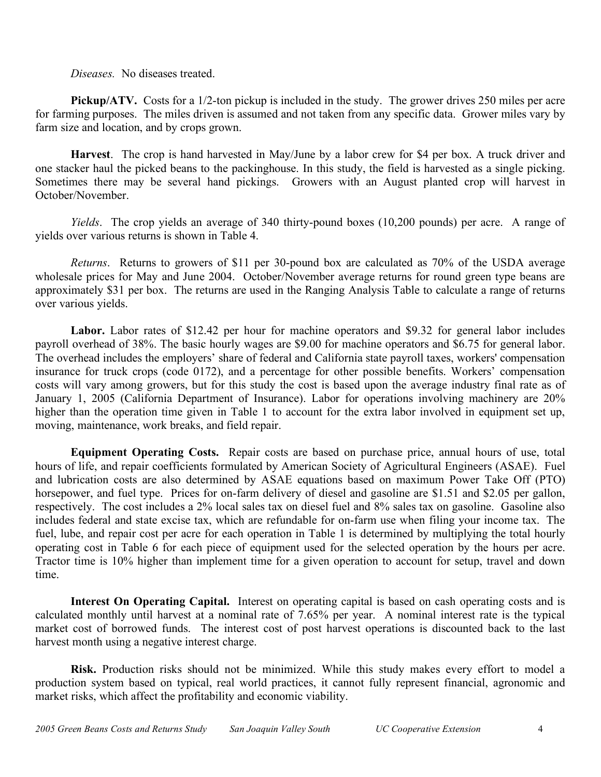*Diseases.* No diseases treated.

**Pickup/ATV.** Costs for a 1/2-ton pickup is included in the study. The grower drives 250 miles per acre for farming purposes. The miles driven is assumed and not taken from any specific data. Grower miles vary by farm size and location, and by crops grown.

**Harvest**. The crop is hand harvested in May/June by a labor crew for \$4 per box. A truck driver and one stacker haul the picked beans to the packinghouse. In this study, the field is harvested as a single picking. Sometimes there may be several hand pickings. Growers with an August planted crop will harvest in October/November.

*Yields*. The crop yields an average of 340 thirty-pound boxes (10,200 pounds) per acre. A range of yields over various returns is shown in Table 4.

*Returns*. Returns to growers of \$11 per 30-pound box are calculated as 70% of the USDA average wholesale prices for May and June 2004. October/November average returns for round green type beans are approximately \$31 per box. The returns are used in the Ranging Analysis Table to calculate a range of returns over various yields.

Labor. Labor rates of \$12.42 per hour for machine operators and \$9.32 for general labor includes payroll overhead of 38%. The basic hourly wages are \$9.00 for machine operators and \$6.75 for general labor. The overhead includes the employers' share of federal and California state payroll taxes, workers' compensation insurance for truck crops (code 0172), and a percentage for other possible benefits. Workers' compensation costs will vary among growers, but for this study the cost is based upon the average industry final rate as of January 1, 2005 (California Department of Insurance). Labor for operations involving machinery are 20% higher than the operation time given in Table 1 to account for the extra labor involved in equipment set up, moving, maintenance, work breaks, and field repair.

**Equipment Operating Costs.** Repair costs are based on purchase price, annual hours of use, total hours of life, and repair coefficients formulated by American Society of Agricultural Engineers (ASAE). Fuel and lubrication costs are also determined by ASAE equations based on maximum Power Take Off (PTO) horsepower, and fuel type. Prices for on-farm delivery of diesel and gasoline are \$1.51 and \$2.05 per gallon, respectively. The cost includes a 2% local sales tax on diesel fuel and 8% sales tax on gasoline. Gasoline also includes federal and state excise tax, which are refundable for on-farm use when filing your income tax. The fuel, lube, and repair cost per acre for each operation in Table 1 is determined by multiplying the total hourly operating cost in Table 6 for each piece of equipment used for the selected operation by the hours per acre. Tractor time is 10% higher than implement time for a given operation to account for setup, travel and down time.

**Interest On Operating Capital.** Interest on operating capital is based on cash operating costs and is calculated monthly until harvest at a nominal rate of 7.65% per year. A nominal interest rate is the typical market cost of borrowed funds. The interest cost of post harvest operations is discounted back to the last harvest month using a negative interest charge.

**Risk.** Production risks should not be minimized. While this study makes every effort to model a production system based on typical, real world practices, it cannot fully represent financial, agronomic and market risks, which affect the profitability and economic viability.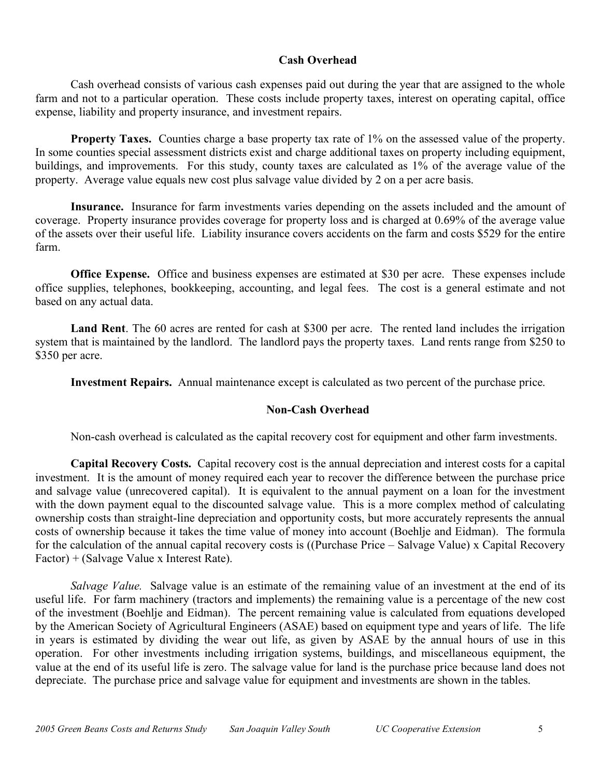# **Cash Overhead**

Cash overhead consists of various cash expenses paid out during the year that are assigned to the whole farm and not to a particular operation. These costs include property taxes, interest on operating capital, office expense, liability and property insurance, and investment repairs.

**Property Taxes.** Counties charge a base property tax rate of 1% on the assessed value of the property. In some counties special assessment districts exist and charge additional taxes on property including equipment, buildings, and improvements. For this study, county taxes are calculated as 1% of the average value of the property. Average value equals new cost plus salvage value divided by 2 on a per acre basis.

**Insurance.** Insurance for farm investments varies depending on the assets included and the amount of coverage. Property insurance provides coverage for property loss and is charged at 0.69% of the average value of the assets over their useful life. Liability insurance covers accidents on the farm and costs \$529 for the entire farm.

**Office Expense.** Office and business expenses are estimated at \$30 per acre. These expenses include office supplies, telephones, bookkeeping, accounting, and legal fees. The cost is a general estimate and not based on any actual data.

**Land Rent**. The 60 acres are rented for cash at \$300 per acre. The rented land includes the irrigation system that is maintained by the landlord. The landlord pays the property taxes. Land rents range from \$250 to \$350 per acre.

**Investment Repairs.** Annual maintenance except is calculated as two percent of the purchase price.

# **Non-Cash Overhead**

Non-cash overhead is calculated as the capital recovery cost for equipment and other farm investments.

**Capital Recovery Costs.** Capital recovery cost is the annual depreciation and interest costs for a capital investment. It is the amount of money required each year to recover the difference between the purchase price and salvage value (unrecovered capital). It is equivalent to the annual payment on a loan for the investment with the down payment equal to the discounted salvage value. This is a more complex method of calculating ownership costs than straight-line depreciation and opportunity costs, but more accurately represents the annual costs of ownership because it takes the time value of money into account (Boehlje and Eidman). The formula for the calculation of the annual capital recovery costs is ((Purchase Price – Salvage Value) x Capital Recovery Factor) + (Salvage Value x Interest Rate).

*Salvage Value.* Salvage value is an estimate of the remaining value of an investment at the end of its useful life. For farm machinery (tractors and implements) the remaining value is a percentage of the new cost of the investment (Boehlje and Eidman). The percent remaining value is calculated from equations developed by the American Society of Agricultural Engineers (ASAE) based on equipment type and years of life. The life in years is estimated by dividing the wear out life, as given by ASAE by the annual hours of use in this operation. For other investments including irrigation systems, buildings, and miscellaneous equipment, the value at the end of its useful life is zero. The salvage value for land is the purchase price because land does not depreciate. The purchase price and salvage value for equipment and investments are shown in the tables.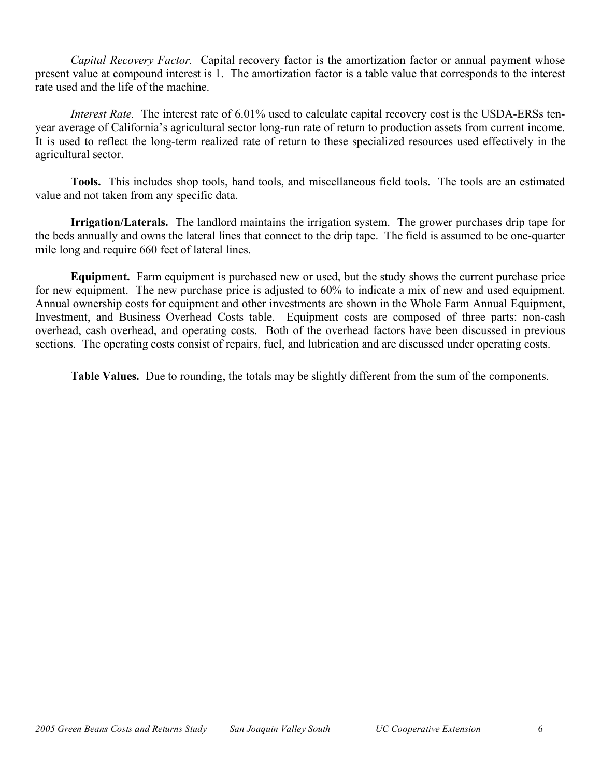*Capital Recovery Factor.* Capital recovery factor is the amortization factor or annual payment whose present value at compound interest is 1. The amortization factor is a table value that corresponds to the interest rate used and the life of the machine.

*Interest Rate.* The interest rate of 6.01% used to calculate capital recovery cost is the USDA-ERSs tenyear average of California's agricultural sector long-run rate of return to production assets from current income. It is used to reflect the long-term realized rate of return to these specialized resources used effectively in the agricultural sector.

**Tools.** This includes shop tools, hand tools, and miscellaneous field tools. The tools are an estimated value and not taken from any specific data.

**Irrigation/Laterals.** The landlord maintains the irrigation system. The grower purchases drip tape for the beds annually and owns the lateral lines that connect to the drip tape. The field is assumed to be one-quarter mile long and require 660 feet of lateral lines.

**Equipment.** Farm equipment is purchased new or used, but the study shows the current purchase price for new equipment. The new purchase price is adjusted to 60% to indicate a mix of new and used equipment. Annual ownership costs for equipment and other investments are shown in the Whole Farm Annual Equipment, Investment, and Business Overhead Costs table. Equipment costs are composed of three parts: non-cash overhead, cash overhead, and operating costs. Both of the overhead factors have been discussed in previous sections. The operating costs consist of repairs, fuel, and lubrication and are discussed under operating costs.

**Table Values.** Due to rounding, the totals may be slightly different from the sum of the components.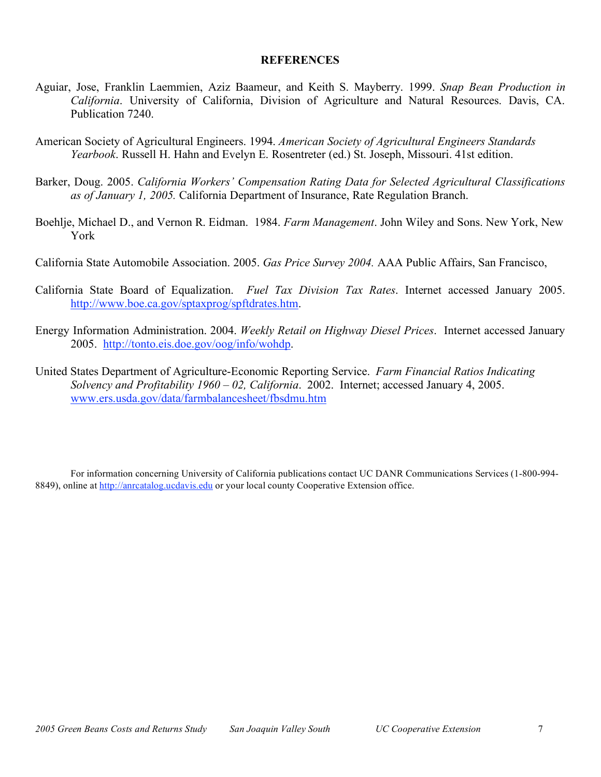## **REFERENCES**

- Aguiar, Jose, Franklin Laemmien, Aziz Baameur, and Keith S. Mayberry. 1999. *Snap Bean Production in California*. University of California, Division of Agriculture and Natural Resources. Davis, CA. Publication 7240.
- American Society of Agricultural Engineers. 1994. *American Society of Agricultural Engineers Standards Yearbook*. Russell H. Hahn and Evelyn E. Rosentreter (ed.) St. Joseph, Missouri. 41st edition.
- Barker, Doug. 2005. *California Workers' Compensation Rating Data for Selected Agricultural Classifications as of January 1, 2005.* California Department of Insurance, Rate Regulation Branch.
- Boehlje, Michael D., and Vernon R. Eidman. 1984. *Farm Management*. John Wiley and Sons. New York, New York
- California State Automobile Association. 2005. *Gas Price Survey 2004.* AAA Public Affairs, San Francisco,
- California State Board of Equalization. *Fuel Tax Division Tax Rates*. Internet accessed January 2005. http://www.boe.ca.gov/sptaxprog/spftdrates.htm.
- Energy Information Administration. 2004. *Weekly Retail on Highway Diesel Prices*. Internet accessed January 2005. http://tonto.eis.doe.gov/oog/info/wohdp.
- United States Department of Agriculture-Economic Reporting Service. *Farm Financial Ratios Indicating Solvency and Profitability 1960 – 02, California*. 2002. Internet; accessed January 4, 2005. www.ers.usda.gov/data/farmbalancesheet/fbsdmu.htm

For information concerning University of California publications contact UC DANR Communications Services (1-800-994- 8849), online at http://anrcatalog.ucdavis.edu or your local county Cooperative Extension office.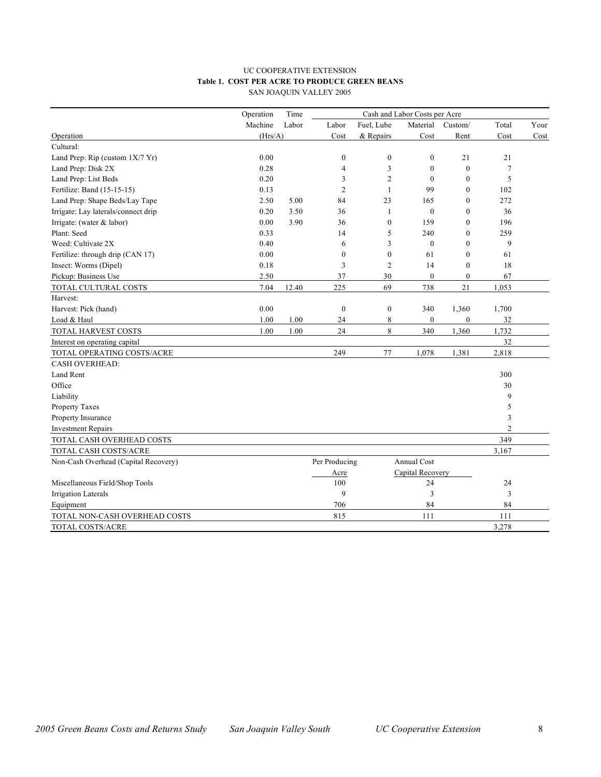#### UC COOPERATIVE EXTENSION **Table 1. COST PER ACRE TO PRODUCE GREEN BEANS** SAN JOAQUIN VALLEY 2005

|                                      | Operation | Time  |                |                  |                  |                  |                |      |
|--------------------------------------|-----------|-------|----------------|------------------|------------------|------------------|----------------|------|
|                                      | Machine   | Labor | Labor          | Fuel, Lube       | Material         | Custom/          | Total          | Your |
| Operation                            | (Hrs/A)   |       | Cost           | & Repairs        | Cost             | Rent             | Cost           | Cost |
| Cultural:                            |           |       |                |                  |                  |                  |                |      |
| Land Prep: Rip (custom $1X/7$ Yr)    | 0.00      |       | $\mathbf{0}$   | $\boldsymbol{0}$ | $\boldsymbol{0}$ | 21               | 21             |      |
| Land Prep: Disk 2X                   | 0.28      |       | 4              | 3                | $\mathbf{0}$     | $\boldsymbol{0}$ | 7              |      |
| Land Prep: List Beds                 | 0.20      |       | 3              | $\overline{2}$   | $\mathbf{0}$     | $\mathbf{0}$     | 5              |      |
| Fertilize: Band (15-15-15)           | 0.13      |       | $\overline{2}$ | $\mathbf{1}$     | 99               | $\mathbf{0}$     | 102            |      |
| Land Prep: Shape Beds/Lay Tape       | 2.50      | 5.00  | 84             | 23               | 165              | $\mathbf{0}$     | 272            |      |
| Irrigate: Lay laterals/connect drip  | 0.20      | 3.50  | 36             | $\mathbf{1}$     | $\theta$         | $\mathbf{0}$     | 36             |      |
| Irrigate: (water & labor)            | 0.00      | 3.90  | 36             | $\mathbf{0}$     | 159              | $\mathbf{0}$     | 196            |      |
| Plant: Seed                          | 0.33      |       | 14             | 5                | 240              | $\mathbf{0}$     | 259            |      |
| Weed: Cultivate 2X                   | 0.40      |       | 6              | 3                | $\mathbf{0}$     | $\theta$         | 9              |      |
| Fertilize: through drip (CAN 17)     | 0.00      |       | $\mathbf{0}$   | $\mathbf{0}$     | 61               | $\mathbf{0}$     | 61             |      |
| Insect: Worms (Dipel)                | $0.18\,$  |       | 3              | $\overline{2}$   | 14               | $\boldsymbol{0}$ | 18             |      |
| Pickup: Business Use                 | 2.50      |       | 37             | 30               | $\mathbf{0}$     | $\mathbf{0}$     | 67             |      |
| TOTAL CULTURAL COSTS                 | 7.04      | 12.40 | 225            | 69               | 738              | 21               | 1,053          |      |
| Harvest:                             |           |       |                |                  |                  |                  |                |      |
| Harvest: Pick (hand)                 | 0.00      |       | $\mathbf{0}$   | $\boldsymbol{0}$ | 340              | 1,360            | 1,700          |      |
| Load & Haul                          | 1.00      | 1.00  | 24             | 8                | $\mathbf{0}$     | $\boldsymbol{0}$ | 32             |      |
| TOTAL HARVEST COSTS                  | 1.00      | 1.00  | 24             | 8                | 340              | 1,360            | 1,732          |      |
| Interest on operating capital        |           |       |                |                  |                  |                  | 32             |      |
| TOTAL OPERATING COSTS/ACRE           |           |       | 249            | 77               | 1,078            | 1,381            | 2,818          |      |
| <b>CASH OVERHEAD:</b>                |           |       |                |                  |                  |                  |                |      |
| Land Rent                            |           |       |                |                  |                  |                  | 300            |      |
| Office                               |           |       |                |                  |                  |                  | 30             |      |
| Liability                            |           |       |                |                  |                  |                  | 9              |      |
| Property Taxes                       |           |       |                |                  |                  |                  | 5              |      |
| Property Insurance                   |           |       |                |                  |                  |                  | 3              |      |
| <b>Investment Repairs</b>            |           |       |                |                  |                  |                  | $\overline{2}$ |      |
| TOTAL CASH OVERHEAD COSTS            |           |       |                |                  |                  |                  | 349            |      |
| TOTAL CASH COSTS/ACRE                |           |       |                |                  |                  |                  | 3,167          |      |
| Non-Cash Overhead (Capital Recovery) |           |       | Per Producing  |                  | Annual Cost      |                  |                |      |
|                                      |           |       | Acre           |                  | Capital Recovery |                  |                |      |
| Miscellaneous Field/Shop Tools       |           |       | 100            |                  | 24               |                  | 24             |      |
| <b>Irrigation Laterals</b>           |           |       | 9              |                  | 3                |                  | 3              |      |
| Equipment                            |           |       | 706            |                  | 84               |                  | 84             |      |
| TOTAL NON-CASH OVERHEAD COSTS        |           |       | 815            |                  | 111              |                  | 111            |      |
| TOTAL COSTS/ACRE                     |           |       |                |                  |                  |                  | 3,278          |      |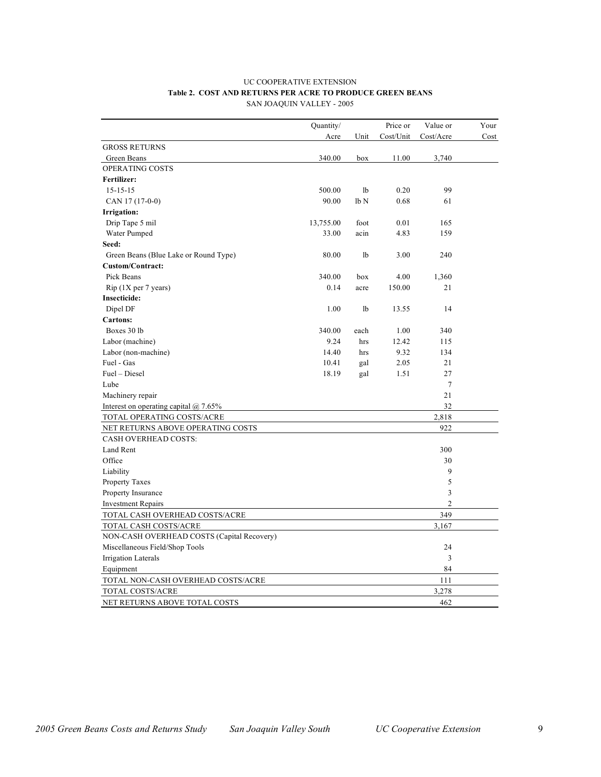#### UC COOPERATIVE EXTENSION **Table 2. COST AND RETURNS PER ACRE TO PRODUCE GREEN BEANS** SAN JOAQUIN VALLEY - 2005

|                                            | Quantity/ |                 | Price or  | Value or       | Your |
|--------------------------------------------|-----------|-----------------|-----------|----------------|------|
|                                            | Acre      | Unit            | Cost/Unit | Cost/Acre      | Cost |
| <b>GROSS RETURNS</b>                       |           |                 |           |                |      |
| Green Beans                                | 340.00    | box             | 11.00     | 3,740          |      |
| OPERATING COSTS                            |           |                 |           |                |      |
| Fertilizer:                                |           |                 |           |                |      |
| $15 - 15 - 15$                             | 500.00    | 1 <sub>b</sub>  | 0.20      | 99             |      |
| CAN 17 (17-0-0)                            | 90.00     | lb <sub>N</sub> | 0.68      | 61             |      |
| Irrigation:                                |           |                 |           |                |      |
| Drip Tape 5 mil                            | 13,755.00 | foot            | 0.01      | 165            |      |
| Water Pumped                               | 33.00     | acin            | 4.83      | 159            |      |
| Seed:                                      |           |                 |           |                |      |
| Green Beans (Blue Lake or Round Type)      | 80.00     | 1b              | 3.00      | 240            |      |
| <b>Custom/Contract:</b>                    |           |                 |           |                |      |
| Pick Beans                                 | 340.00    | box             | 4.00      | 1,360          |      |
| $Rip$ (1X per 7 years)                     | 0.14      | acre            | 150.00    | 21             |      |
| <b>Insecticide:</b>                        |           |                 |           |                |      |
| Dipel DF                                   | 1.00      | 1b              | 13.55     | 14             |      |
| <b>Cartons:</b>                            |           |                 |           |                |      |
| Boxes 30 lb                                | 340.00    | each            | 1.00      | 340            |      |
| Labor (machine)                            | 9.24      | hrs             | 12.42     | 115            |      |
| Labor (non-machine)                        | 14.40     | hrs             | 9.32      | 134            |      |
| Fuel - Gas                                 | 10.41     | gal             | 2.05      | 21             |      |
| Fuel - Diesel                              | 18.19     | gal             | 1.51      | 27             |      |
| Lube                                       |           |                 |           | $\tau$         |      |
| Machinery repair                           |           |                 |           | 21             |      |
| Interest on operating capital $@$ 7.65%    |           |                 |           | 32             |      |
| TOTAL OPERATING COSTS/ACRE                 |           |                 |           | 2,818          |      |
| NET RETURNS ABOVE OPERATING COSTS          |           |                 |           | 922            |      |
| <b>CASH OVERHEAD COSTS:</b>                |           |                 |           |                |      |
| <b>Land Rent</b>                           |           |                 |           | 300            |      |
| Office                                     |           |                 |           | 30             |      |
| Liability                                  |           |                 |           | 9              |      |
| Property Taxes                             |           |                 |           | 5              |      |
| Property Insurance                         |           |                 |           | 3              |      |
| <b>Investment Repairs</b>                  |           |                 |           | $\overline{c}$ |      |
| TOTAL CASH OVERHEAD COSTS/ACRE             |           |                 |           | 349            |      |
| TOTAL CASH COSTS/ACRE                      |           |                 |           | 3,167          |      |
| NON-CASH OVERHEAD COSTS (Capital Recovery) |           |                 |           |                |      |
| Miscellaneous Field/Shop Tools             |           |                 |           | 24             |      |
| Irrigation Laterals                        |           |                 |           | 3              |      |
| Equipment                                  |           |                 |           | 84             |      |
| TOTAL NON-CASH OVERHEAD COSTS/ACRE         |           |                 |           | 111            |      |
| TOTAL COSTS/ACRE                           |           |                 |           | 3,278          |      |
| NET RETURNS ABOVE TOTAL COSTS              |           |                 |           | 462            |      |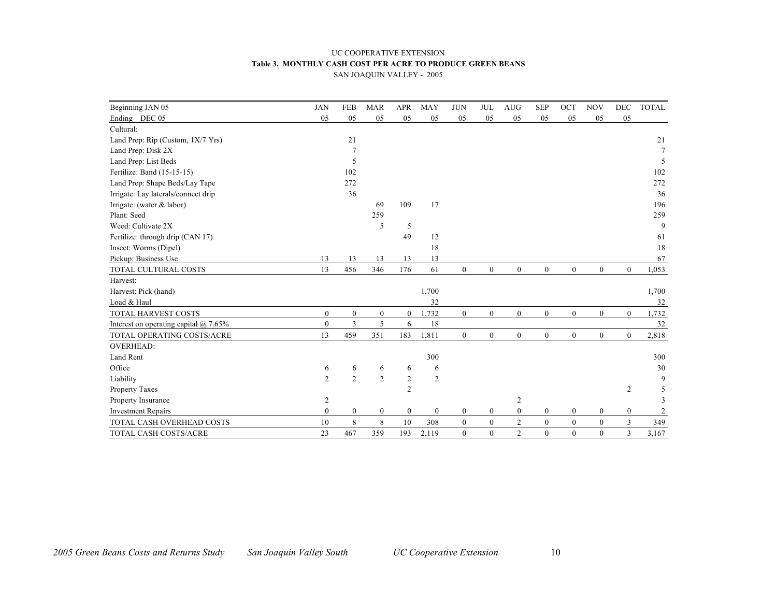#### UC COOPERATIVE EXTENSION **Table 3. MONTHLY CASH COST PER ACRE TO PRODUCE GREEN BEANS** SAN JOAQUIN VALLEY - 2005

| Beginning JAN 05                        | <b>JAN</b>       | <b>FEB</b>       | <b>MAR</b>       | <b>APR</b>       | <b>MAY</b>       | <b>JUN</b>       | <b>JUL</b>       | <b>AUG</b>       | <b>SEP</b>       | OCT              | <b>NOV</b>       | <b>DEC</b>       | <b>TOTAL</b>   |
|-----------------------------------------|------------------|------------------|------------------|------------------|------------------|------------------|------------------|------------------|------------------|------------------|------------------|------------------|----------------|
| Ending DEC 05                           | 05               | 05               | 05               | 05               | 05               | 05               | 05               | 05               | 05               | 05               | 05               | 05               |                |
| Cultural:                               |                  |                  |                  |                  |                  |                  |                  |                  |                  |                  |                  |                  |                |
| Land Prep: Rip (Custom, 1X/7 Yrs)       |                  | 21               |                  |                  |                  |                  |                  |                  |                  |                  |                  |                  | 21             |
| Land Prep: Disk 2X                      |                  | 7                |                  |                  |                  |                  |                  |                  |                  |                  |                  |                  | 7              |
| Land Prep: List Beds                    |                  | 5                |                  |                  |                  |                  |                  |                  |                  |                  |                  |                  | 5              |
| Fertilize: Band (15-15-15)              |                  | 102              |                  |                  |                  |                  |                  |                  |                  |                  |                  |                  | 102            |
| Land Prep: Shape Beds/Lay Tape          |                  | 272              |                  |                  |                  |                  |                  |                  |                  |                  |                  |                  | 272            |
| Irrigate: Lay laterals/connect drip     |                  | 36               |                  |                  |                  |                  |                  |                  |                  |                  |                  |                  | 36             |
| Irrigate: (water $&$ labor)             |                  |                  | 69               | 109              | 17               |                  |                  |                  |                  |                  |                  |                  | 196            |
| Plant: Seed                             |                  |                  | 259              |                  |                  |                  |                  |                  |                  |                  |                  |                  | 259            |
| Weed: Cultivate 2X                      |                  |                  | 5                | 5                |                  |                  |                  |                  |                  |                  |                  |                  | 9              |
| Fertilize: through drip (CAN 17)        |                  |                  |                  | 49               | 12               |                  |                  |                  |                  |                  |                  |                  | 61             |
| Insect: Worms (Dipel)                   |                  |                  |                  |                  | 18               |                  |                  |                  |                  |                  |                  |                  | 18             |
| Pickup: Business Use                    | 13               | 13               | 13               | 13               | 13               |                  |                  |                  |                  |                  |                  |                  | 67             |
| TOTAL CULTURAL COSTS                    | 13               | 456              | 346              | 176              | 61               | $\boldsymbol{0}$ | $\mathbf{0}$     | $\boldsymbol{0}$ | $\boldsymbol{0}$ | $\overline{0}$   | $\boldsymbol{0}$ | $\mathbf{0}$     | 1,053          |
| Harvest:                                |                  |                  |                  |                  |                  |                  |                  |                  |                  |                  |                  |                  |                |
| Harvest: Pick (hand)                    |                  |                  |                  |                  | 1,700            |                  |                  |                  |                  |                  |                  |                  | 1,700          |
| Load & Haul                             |                  |                  |                  |                  | 32               |                  |                  |                  |                  |                  |                  |                  | 32             |
| TOTAL HARVEST COSTS                     | $\boldsymbol{0}$ | $\boldsymbol{0}$ | $\boldsymbol{0}$ | $\boldsymbol{0}$ | 1,732            | $\mathbf{0}$     | $\overline{0}$   | $\overline{0}$   | $\mathbf{0}$     | $\boldsymbol{0}$ | $\boldsymbol{0}$ | $\mathbf{0}$     | 1,732          |
| Interest on operating capital $@$ 7.65% | $\mathbf{0}$     | $\overline{3}$   | 5                | 6                | 18               |                  |                  |                  |                  |                  |                  |                  | 32             |
| TOTAL OPERATING COSTS/ACRE              | 13               | 459              | 351              | 183              | 1,811            | $\boldsymbol{0}$ | $\overline{0}$   | $\overline{0}$   | $\boldsymbol{0}$ | $\boldsymbol{0}$ | $\mathbf{0}$     | $\mathbf{0}$     | 2,818          |
| <b>OVERHEAD:</b>                        |                  |                  |                  |                  |                  |                  |                  |                  |                  |                  |                  |                  |                |
| Land Rent                               |                  |                  |                  |                  | 300              |                  |                  |                  |                  |                  |                  |                  | 300            |
| Office                                  | 6                | 6                | 6                | 6                | 6                |                  |                  |                  |                  |                  |                  |                  | 30             |
| Liability                               | $\overline{2}$   | $\overline{2}$   | $\overline{2}$   | $\overline{c}$   | 2                |                  |                  |                  |                  |                  |                  |                  | 9              |
| <b>Property Taxes</b>                   |                  |                  |                  | $\overline{2}$   |                  |                  |                  |                  |                  |                  |                  | 2                | 5              |
| Property Insurance                      | 2                |                  |                  |                  |                  |                  |                  | $\overline{2}$   |                  |                  |                  |                  | 3              |
| <b>Investment Repairs</b>               | $\boldsymbol{0}$ | $\mathbf{0}$     | $\boldsymbol{0}$ | $\boldsymbol{0}$ | $\boldsymbol{0}$ | $\boldsymbol{0}$ | $\boldsymbol{0}$ | $\boldsymbol{0}$ | $\bf{0}$         | $\boldsymbol{0}$ | $\boldsymbol{0}$ | $\boldsymbol{0}$ | $\overline{c}$ |
| TOTAL CASH OVERHEAD COSTS               | 10               | 8                | 8                | 10               | 308              | $\mathbf{0}$     | $\mathbf{0}$     | $\overline{c}$   | $\mathbf{0}$     | $\boldsymbol{0}$ | $\boldsymbol{0}$ | 3                | 349            |
| TOTAL CASH COSTS/ACRE                   | 23               | 467              | 359              | 193              | 2,119            | $\mathbf{0}$     | $\mathbf{0}$     | $\overline{2}$   | $\mathbf{0}$     | $\overline{0}$   | $\mathbf{0}$     | 3                | 3,167          |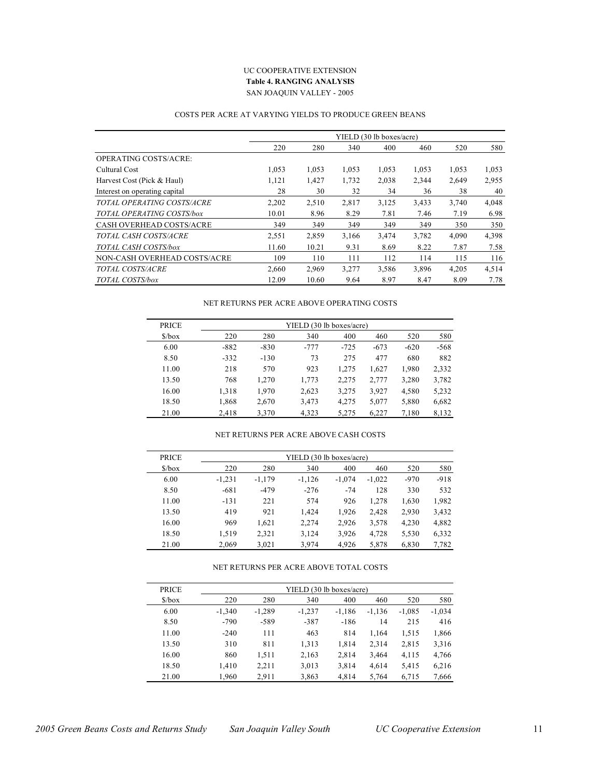#### UC COOPERATIVE EXTENSION **Table 4. RANGING ANALYSIS** SAN JOAQUIN VALLEY - 2005

#### COSTS PER ACRE AT VARYING YIELDS TO PRODUCE GREEN BEANS

|                                 |       |       |       | YIELD (30 lb boxes/acre) |       |       |       |
|---------------------------------|-------|-------|-------|--------------------------|-------|-------|-------|
|                                 | 220   | 280   | 340   | 400                      | 460   | 520   | 580   |
| <b>OPERATING COSTS/ACRE:</b>    |       |       |       |                          |       |       |       |
| Cultural Cost                   | 1,053 | 1,053 | 1,053 | 1,053                    | 1,053 | 1,053 | 1,053 |
| Harvest Cost (Pick & Haul)      | 1,121 | 1,427 | 1,732 | 2,038                    | 2,344 | 2,649 | 2,955 |
| Interest on operating capital   | 28    | 30    | 32    | 34                       | 36    | 38    | 40    |
| TOTAL OPERATING COSTS/ACRE      | 2,202 | 2,510 | 2,817 | 3,125                    | 3,433 | 3.740 | 4,048 |
| TOTAL OPERATING COSTS/box       | 10.01 | 8.96  | 8.29  | 7.81                     | 7.46  | 7.19  | 6.98  |
| <b>CASH OVERHEAD COSTS/ACRE</b> | 349   | 349   | 349   | 349                      | 349   | 350   | 350   |
| TOTAL CASH COSTS/ACRE           | 2,551 | 2,859 | 3,166 | 3,474                    | 3,782 | 4,090 | 4,398 |
| TOTAL CASH COSTS/box            | 11.60 | 10.21 | 9.31  | 8.69                     | 8.22  | 7.87  | 7.58  |
| NON-CASH OVERHEAD COSTS/ACRE    | 109   | 110   | 111   | 112                      | 114   | 115   | 116   |
| TOTAL COSTS/ACRE                | 2,660 | 2,969 | 3,277 | 3,586                    | 3,896 | 4,205 | 4,514 |
| TOTAL COSTS/box                 | 12.09 | 10.60 | 9.64  | 8.97                     | 8.47  | 8.09  | 7.78  |

#### NET RETURNS PER ACRE ABOVE OPERATING COSTS

| <b>PRICE</b>                  | YIELD (30 lb boxes/acre) |        |        |        |        |        |        |  |  |  |  |
|-------------------------------|--------------------------|--------|--------|--------|--------|--------|--------|--|--|--|--|
| $\frac{\text{S}}{\text{box}}$ | 220                      | 280    | 340    | 400    | 460    | 520    | 580    |  |  |  |  |
| 6.00                          | $-882$                   | $-830$ | $-777$ | $-725$ | $-673$ | $-620$ | $-568$ |  |  |  |  |
| 8.50                          | $-332$                   | $-130$ | 73     | 275    | 477    | 680    | 882    |  |  |  |  |
| 11.00                         | 218                      | 570    | 923    | 1,275  | 1,627  | 1,980  | 2,332  |  |  |  |  |
| 13.50                         | 768                      | 1.270  | 1,773  | 2,275  | 2,777  | 3,280  | 3,782  |  |  |  |  |
| 16.00                         | 1,318                    | 1,970  | 2,623  | 3,275  | 3,927  | 4,580  | 5,232  |  |  |  |  |
| 18.50                         | 1,868                    | 2,670  | 3,473  | 4,275  | 5,077  | 5,880  | 6,682  |  |  |  |  |
| 21.00                         | 2.418                    | 3.370  | 4.323  | 5,275  | 6,227  | 7,180  | 8,132  |  |  |  |  |

#### NET RETURNS PER ACRE ABOVE CASH COSTS

| <b>PRICE</b>                  | YIELD (30 lb boxes/acre) |          |          |          |          |        |        |  |  |  |
|-------------------------------|--------------------------|----------|----------|----------|----------|--------|--------|--|--|--|
| $\frac{\text{S}}{\text{box}}$ | 220                      | 280      | 340      | 400      | 460      | 520    | 580    |  |  |  |
| 6.00                          | $-1,231$                 | $-1,179$ | $-1,126$ | $-1,074$ | $-1,022$ | $-970$ | $-918$ |  |  |  |
| 8.50                          | $-681$                   | $-479$   | $-276$   | $-74$    | 128      | 330    | 532    |  |  |  |
| 11.00                         | $-131$                   | 221      | 574      | 926      | 1,278    | 1,630  | 1,982  |  |  |  |
| 13.50                         | 419                      | 921      | 1.424    | 1.926    | 2.428    | 2.930  | 3,432  |  |  |  |
| 16.00                         | 969                      | 1,621    | 2,274    | 2,926    | 3,578    | 4,230  | 4,882  |  |  |  |
| 18.50                         | 1,519                    | 2,321    | 3,124    | 3,926    | 4,728    | 5,530  | 6,332  |  |  |  |
| 21.00                         | 2,069                    | 3,021    | 3,974    | 4,926    | 5,878    | 6,830  | 7,782  |  |  |  |

#### NET RETURNS PER ACRE ABOVE TOTAL COSTS

| <b>PRICE</b>                  | YIELD (30 lb boxes/acre) |          |          |          |          |          |          |  |  |  |
|-------------------------------|--------------------------|----------|----------|----------|----------|----------|----------|--|--|--|
| $\frac{\text{S}}{\text{box}}$ | 220                      | 280      | 340      | 400      | 460      | 520      | 580      |  |  |  |
| 6.00                          | $-1.340$                 | $-1,289$ | $-1,237$ | $-1,186$ | $-1,136$ | $-1,085$ | $-1,034$ |  |  |  |
| 8.50                          | $-790$                   | $-589$   | $-387$   | $-186$   | 14       | 215      | 416      |  |  |  |
| 11.00                         | $-240$                   | 111      | 463      | 814      | 1,164    | 1,515    | 1,866    |  |  |  |
| 13.50                         | 310                      | 811      | 1,313    | 1,814    | 2,314    | 2,815    | 3,316    |  |  |  |
| 16.00                         | 860                      | 1.511    | 2,163    | 2,814    | 3,464    | 4,115    | 4,766    |  |  |  |
| 18.50                         | 1,410                    | 2,211    | 3,013    | 3,814    | 4,614    | 5,415    | 6,216    |  |  |  |
| 21.00                         | 1,960                    | 2,911    | 3,863    | 4,814    | 5,764    | 6,715    | 7,666    |  |  |  |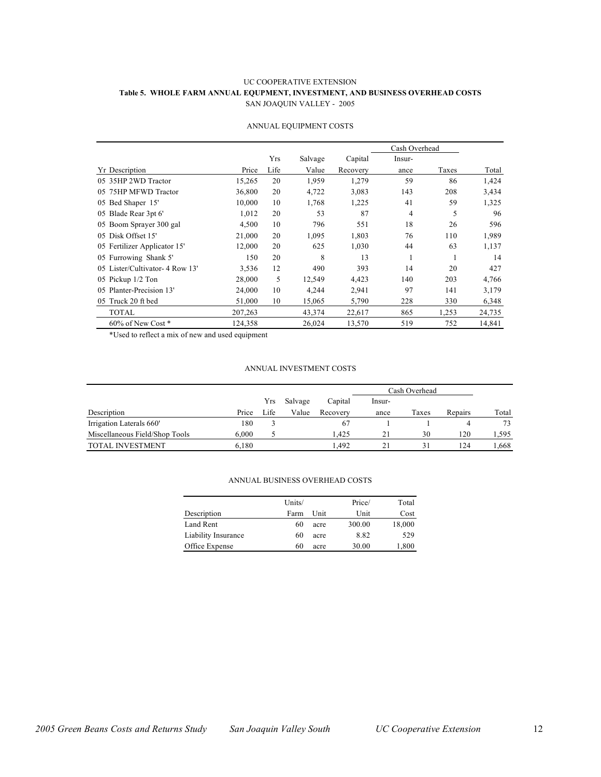#### UC COOPERATIVE EXTENSION **Table 5. WHOLE FARM ANNUAL EQUPMENT, INVESTMENT, AND BUSINESS OVERHEAD COSTS** SAN JOAQUIN VALLEY - 2005

|                                |         |      |         |          | Cash Overhead  |       |        |
|--------------------------------|---------|------|---------|----------|----------------|-------|--------|
|                                |         | Yrs  | Salvage | Capital  | Insur-         |       |        |
| <b>Yr</b> Description          | Price   | Life | Value   | Recovery | ance           | Taxes | Total  |
| 05 35HP 2WD Tractor            | 15,265  | 20   | 1,959   | 1,279    | 59             | 86    | 1,424  |
| 05 75HP MFWD Tractor           | 36,800  | 20   | 4,722   | 3,083    | 143            | 208   | 3,434  |
| 05 Bed Shaper 15'              | 10,000  | 10   | 1,768   | 1,225    | 41             | 59    | 1,325  |
| 05 Blade Rear 3pt 6'           | 1,012   | 20   | 53      | 87       | $\overline{4}$ | 5     | 96     |
| 05 Boom Sprayer 300 gal        | 4,500   | 10   | 796     | 551      | 18             | 26    | 596    |
| 05 Disk Offset 15'             | 21,000  | 20   | 1,095   | 1,803    | 76             | 110   | 1,989  |
| 05 Fertilizer Applicator 15'   | 12,000  | 20   | 625     | 1,030    | 44             | 63    | 1,137  |
| 05 Furrowing Shank 5'          | 150     | 20   | 8       | 13       | 1              | 1     | 14     |
| 05 Lister/Cultivator-4 Row 13' | 3,536   | 12   | 490     | 393      | 14             | 20    | 427    |
| 05 Pickup 1/2 Ton              | 28,000  | 5    | 12,549  | 4,423    | 140            | 203   | 4,766  |
| Planter-Precision 13'<br>05    | 24,000  | 10   | 4,244   | 2,941    | 97             | 141   | 3,179  |
| 05 Truck 20 ft bed             | 51,000  | 10   | 15,065  | 5,790    | 228            | 330   | 6,348  |
| TOTAL                          | 207,263 |      | 43,374  | 22,617   | 865            | 1,253 | 24,735 |
| 60% of New Cost *              | 124,358 |      | 26,024  | 13,570   | 519            | 752   | 14,841 |

#### ANNUAL EQUIPMENT COSTS

\*Used to reflect a mix of new and used equipment

#### ANNUAL INVESTMENT COSTS

|                                |       |      |         |          | Cash Overhead |       |         |       |
|--------------------------------|-------|------|---------|----------|---------------|-------|---------|-------|
|                                |       | Yrs  | Salvage | Capital  | lnsur-        |       |         |       |
| Description                    | Price | Life | Value   | Recovery | ance          | Taxes | Repairs | Total |
| Irrigation Laterals 660'       | 180   |      |         | 67       |               |       |         | 73    |
| Miscellaneous Field/Shop Tools | 6.000 |      |         | 1.425    | 21            | 30    | 120     | 1,595 |
| <b>TOTAL INVESTMENT</b>        | 6.180 |      |         | 1.492    | 21            | 31    | 124     | .668  |

|                     | Units/ |      | Price/ | Total  |
|---------------------|--------|------|--------|--------|
| Description         | Farm   | Unit | Unit   | Cost   |
| Land Rent           | 60     | acre | 300.00 | 18,000 |
| Liability Insurance | 60     | acre | 8.82   | 529    |
| Office Expense      | 60     | acre | 30.00  | 1,800  |

#### ANNUAL BUSINESS OVERHEAD COSTS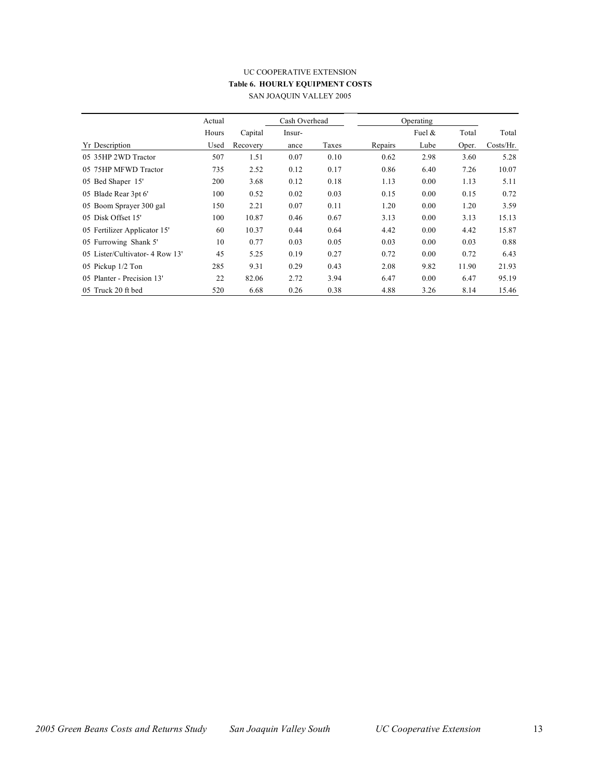### UC COOPERATIVE EXTENSION **Table 6. HOURLY EQUIPMENT COSTS** SAN JOAQUIN VALLEY 2005

|                                | Actual |          | Cash Overhead |       |         | Operating |       |           |
|--------------------------------|--------|----------|---------------|-------|---------|-----------|-------|-----------|
|                                | Hours  | Capital  | Insur-        |       |         | Fuel $\&$ | Total | Total     |
| <b>Yr</b> Description          | Used   | Recovery | ance          | Taxes | Repairs | Lube      | Oper. | Costs/Hr. |
| 05 35HP 2WD Tractor            | 507    | 1.51     | 0.07          | 0.10  | 0.62    | 2.98      | 3.60  | 5.28      |
| 05 75HP MFWD Tractor           | 735    | 2.52     | 0.12          | 0.17  | 0.86    | 6.40      | 7.26  | 10.07     |
| 05 Bed Shaper 15'              | 200    | 3.68     | 0.12          | 0.18  | 1.13    | 0.00      | 1.13  | 5.11      |
| 05 Blade Rear 3pt 6'           | 100    | 0.52     | 0.02          | 0.03  | 0.15    | 0.00      | 0.15  | 0.72      |
| 05 Boom Sprayer 300 gal        | 150    | 2.21     | 0.07          | 0.11  | 1.20    | 0.00      | 1.20  | 3.59      |
| 05 Disk Offset 15'             | 100    | 10.87    | 0.46          | 0.67  | 3.13    | 0.00      | 3.13  | 15.13     |
| 05 Fertilizer Applicator 15'   | 60     | 10.37    | 0.44          | 0.64  | 4.42    | 0.00      | 4.42  | 15.87     |
| 05 Furrowing Shank 5'          | 10     | 0.77     | 0.03          | 0.05  | 0.03    | 0.00      | 0.03  | 0.88      |
| 05 Lister/Cultivator-4 Row 13' | 45     | 5.25     | 0.19          | 0.27  | 0.72    | 0.00      | 0.72  | 6.43      |
| 05 Pickup 1/2 Ton              | 285    | 9.31     | 0.29          | 0.43  | 2.08    | 9.82      | 11.90 | 21.93     |
| 05 Planter - Precision 13'     | 22     | 82.06    | 2.72          | 3.94  | 6.47    | 0.00      | 6.47  | 95.19     |
| 05 Truck 20 ft bed             | 520    | 6.68     | 0.26          | 0.38  | 4.88    | 3.26      | 8.14  | 15.46     |